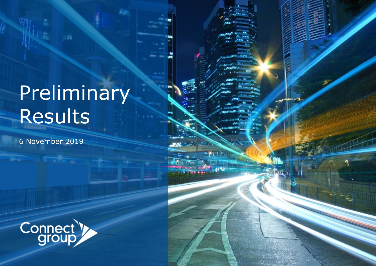# Preliminary Results

ES.

6 November 2019

 $\overline{1}$ 

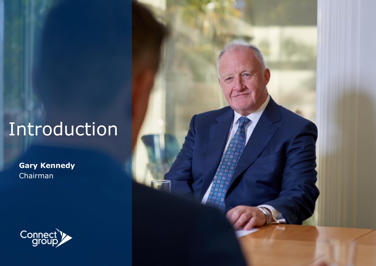## Introduction

**Gary Kennedy** Chairman



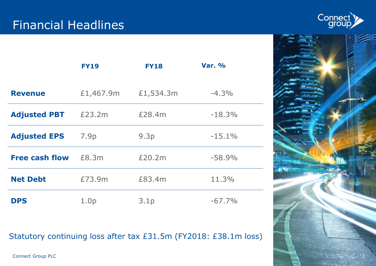

|                       | <b>FY19</b>      | <b>FY18</b> | <b>Var. %</b> |
|-----------------------|------------------|-------------|---------------|
| <b>Revenue</b>        | £1,467.9m        | £1,534.3m   | $-4.3%$       |
| <b>Adjusted PBT</b>   | £23.2m           | £28.4m      | $-18.3%$      |
| <b>Adjusted EPS</b>   | 7.9p             | 9.3p        | $-15.1%$      |
| <b>Free cash flow</b> | £8.3m            | £20.2m      | $-58.9%$      |
| <b>Net Debt</b>       | £73.9m           | £83.4m      | 11.3%         |
| <b>DPS</b>            | 1.0 <sub>p</sub> | 3.1p        | $-67.7%$      |

Statutory continuing loss after tax £31.5m (FY2018: £38.1m loss)

#### Connect Group PLC

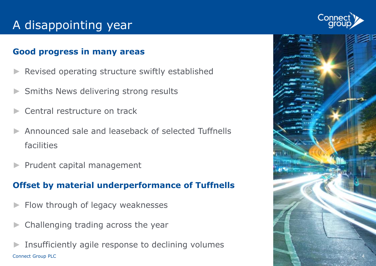## A disappointing year

#### **Good progress in many areas**

- Revised operating structure swiftly established
- Smiths News delivering strong results
- Central restructure on track
- ► Announced sale and leaseback of selected Tuffnells facilities
- ► Prudent capital management

#### **Offset by material underperformance of Tuffnells**

- Flow through of legacy weaknesses
- Challenging trading across the year
- Connect Group PLC Insufficiently agile response to declining volumes



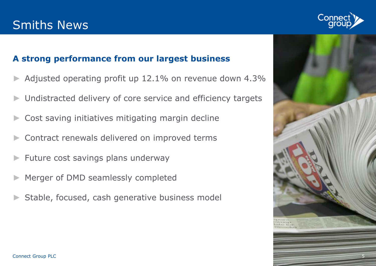## Smiths News



### **A strong performance from our largest business**

- Adjusted operating profit up 12.1% on revenue down 4.3%
- Undistracted delivery of core service and efficiency targets
- Cost saving initiatives mitigating margin decline
- Contract renewals delivered on improved terms
- ► Future cost savings plans underway
- Merger of DMD seamlessly completed
- Stable, focused, cash generative business model

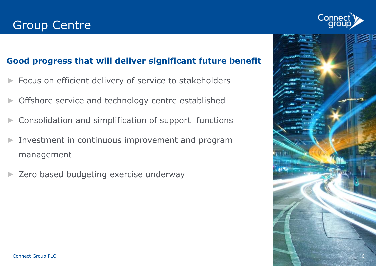

### **Good progress that will deliver significant future benefit**

- Focus on efficient delivery of service to stakeholders
- Offshore service and technology centre established
- ► Consolidation and simplification of support functions
- Investment in continuous improvement and program management
- Zero based budgeting exercise underway

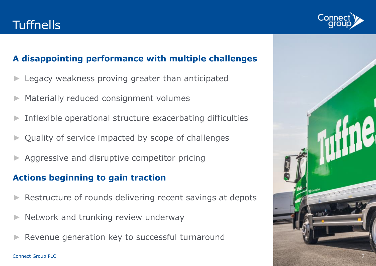## **Tuffnells**



- Legacy weakness proving greater than anticipated
- Materially reduced consignment volumes
- Inflexible operational structure exacerbating difficulties
- Quality of service impacted by scope of challenges
- Aggressive and disruptive competitor pricing

### **Actions beginning to gain traction**

- Restructure of rounds delivering recent savings at depots
- Network and trunking review underway
- Revenue generation key to successful turnaround

Connect Group PLC



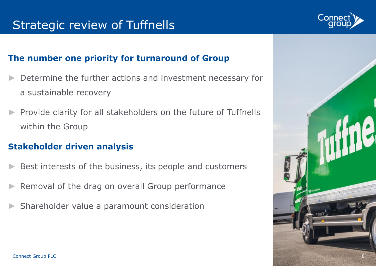### Strategic review of Tuffnells

#### **The number one priority for turnaround of Group**

- Determine the further actions and investment necessary for a sustainable recovery
- Provide clarity for all stakeholders on the future of Tuffnells within the Group

#### **Stakeholder driven analysis**

- Best interests of the business, its people and customers
- Removal of the drag on overall Group performance
- Shareholder value a paramount consideration



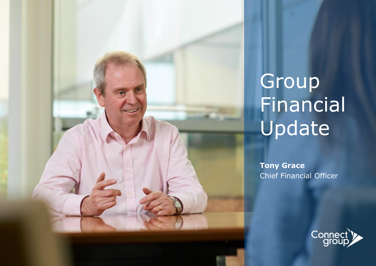

# Group Financial Update

**Tony Grace** Chief Financial Officer

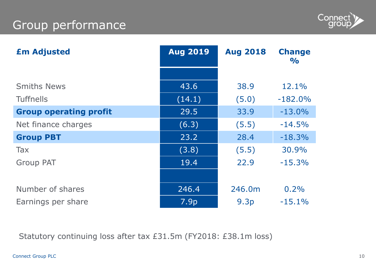## Group performance



| <b>£m Adjusted</b>            | <b>Aug 2019</b>  | <b>Aug 2018</b>  | <b>Change</b><br>$\frac{1}{2}$ |
|-------------------------------|------------------|------------------|--------------------------------|
|                               |                  |                  |                                |
| <b>Smiths News</b>            | 43.6             | 38.9             | 12.1%                          |
| <b>Tuffnells</b>              | (14.1)           | (5.0)            | $-182.0\%$                     |
| <b>Group operating profit</b> | 29.5             | 33.9             | $-13.0%$                       |
| Net finance charges           | (6.3)            | (5.5)            | $-14.5%$                       |
| <b>Group PBT</b>              | 23.2             | 28.4             | $-18.3%$                       |
| <b>Tax</b>                    | (3.8)            | (5.5)            | 30.9%                          |
| <b>Group PAT</b>              | 19.4             | 22.9             | $-15.3%$                       |
|                               |                  |                  |                                |
| Number of shares              | 246.4            | 246.0m           | 0.2%                           |
| Earnings per share            | 7.9 <sub>p</sub> | 9.3 <sub>p</sub> | $-15.1%$                       |

Statutory continuing loss after tax £31.5m (FY2018: £38.1m loss)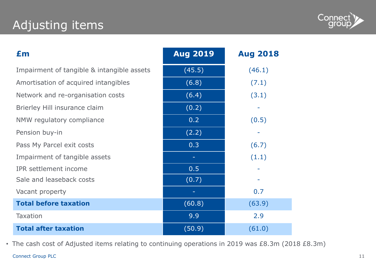## Adjusting items



| £m                                         | <b>Aug 2019</b> | <b>Aug 2018</b> |
|--------------------------------------------|-----------------|-----------------|
| Impairment of tangible & intangible assets | (45.5)          | (46.1)          |
| Amortisation of acquired intangibles       | (6.8)           | (7.1)           |
| Network and re-organisation costs          | (6.4)           | (3.1)           |
| Brierley Hill insurance claim              | (0.2)           |                 |
| NMW regulatory compliance                  | 0.2             | (0.5)           |
| Pension buy-in                             | (2.2)           |                 |
| Pass My Parcel exit costs                  | 0.3             | (6.7)           |
| Impairment of tangible assets              | ٠               | (1.1)           |
| <b>IPR</b> settlement income               | 0.5             |                 |
| Sale and leaseback costs                   | (0.7)           |                 |
| Vacant property                            |                 | 0.7             |
| <b>Total before taxation</b>               | (60.8)          | (63.9)          |
| <b>Taxation</b>                            | 9.9             | 2.9             |
| <b>Total after taxation</b>                | (50.9)          | (61.0)          |

Connect Group PLC • The cash cost of Adjusted items relating to continuing operations in 2019 was £8.3m (2018 £8.3m)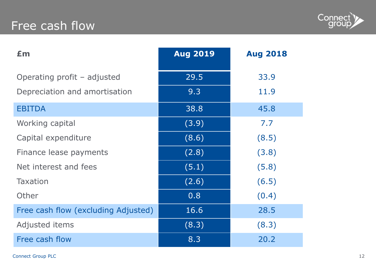## Free cash flow



| Em                                  | <b>Aug 2019</b> | <b>Aug 2018</b> |
|-------------------------------------|-----------------|-----------------|
| Operating profit - adjusted         | 29.5            | 33.9            |
| Depreciation and amortisation       | 9.3             | 11.9            |
| <b>EBITDA</b>                       | 38.8            | 45.8            |
| Working capital                     | (3.9)           | 7.7             |
| Capital expenditure                 | (8.6)           | (8.5)           |
| Finance lease payments              | (2.8)           | (3.8)           |
| Net interest and fees               | (5.1)           | (5.8)           |
| <b>Taxation</b>                     | (2.6)           | (6.5)           |
| Other                               | 0.8             | (0.4)           |
| Free cash flow (excluding Adjusted) | 16.6            | 28.5            |
| Adjusted items                      | (8.3)           | (8.3)           |
| Free cash flow                      | 8.3             | 20.2            |

Connect Group PLC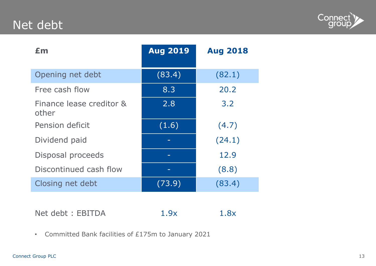## Net debt



| £m                                | <b>Aug 2019</b> | <b>Aug 2018</b> |
|-----------------------------------|-----------------|-----------------|
| Opening net debt                  | (83.4)          | (82.1)          |
| Free cash flow                    | 8.3             | 20.2            |
| Finance lease creditor &<br>other | 2.8             | 3.2             |
| Pension deficit                   | (1.6)           | (4.7)           |
| Dividend paid                     |                 | (24.1)          |
| Disposal proceeds                 |                 | 12.9            |
| Discontinued cash flow            |                 | (8.8)           |
| Closing net debt                  | (73.9)          | (83.4)          |

Net debt : EBITDA 1.9x 1.8x

• Committed Bank facilities of £175m to January 2021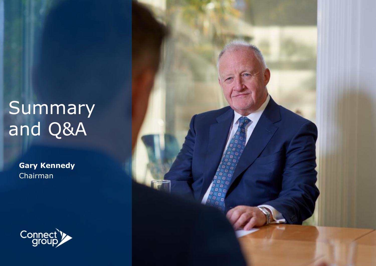## **Summary** and Q&A

**Gary Kennedy** Chairman



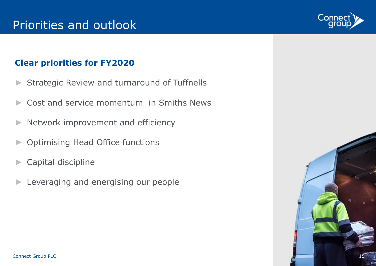## Priorities and outlook

### **Clear priorities for FY2020**

- Strategic Review and turnaround of Tuffnells
- Cost and service momentum in Smiths News
- ► Network improvement and efficiency
- ► Optimising Head Office functions
- ► Capital discipline
- ► Leveraging and energising our people